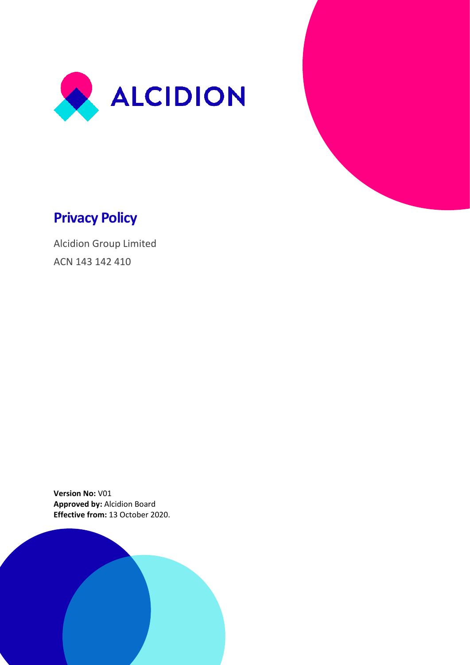



Alcidion Group Limited ACN 143 142 410

**Version No:** V01 **Approved by:** Alcidion Board **Effective from:** 13 October 2020.

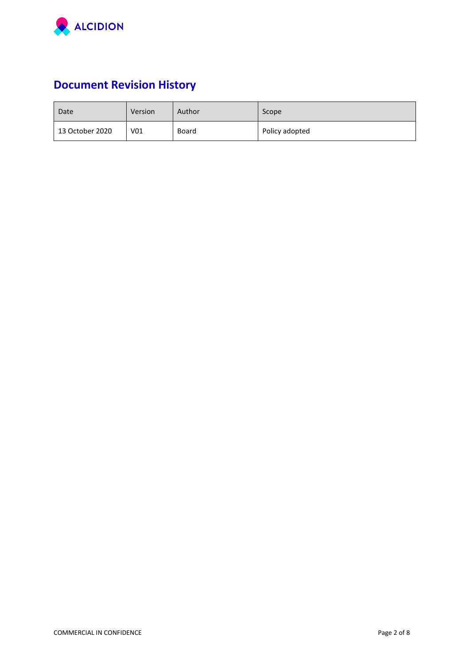

# **Document Revision History**

| Date            | Version         | Author | Scope          |
|-----------------|-----------------|--------|----------------|
| 13 October 2020 | V <sub>01</sub> | Board  | Policy adopted |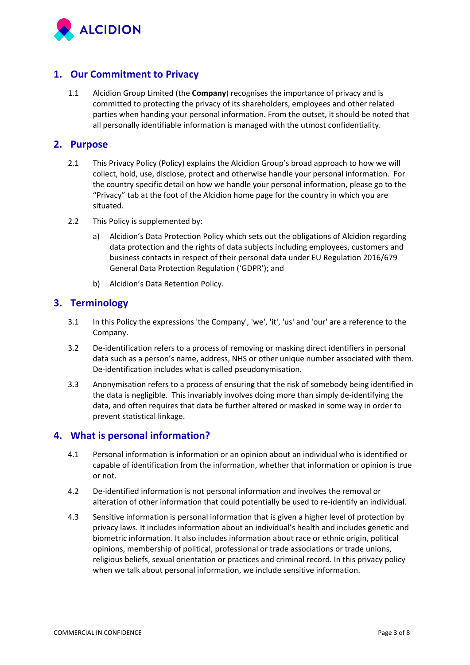

# **1. Our Commitment to Privacy**

1.1 Alcidion Group Limited (the **Company**) recognises the importance of privacy and is committed to protecting the privacy of its shareholders, employees and other related parties when handing your personal information. From the outset, it should be noted that all personally identifiable information is managed with the utmost confidentiality.

#### **2. Purpose**

- 2.1 This Privacy Policy (Policy) explains the Alcidion Group's broad approach to how we will collect, hold, use, disclose, protect and otherwise handle your personal information. For the country specific detail on how we handle your personal information, please go to the "Privacy" tab at the foot of the Alcidion home page for the country in which you are situated.
- 2.2 This Policy is supplemented by:
	- a) Alcidion's Data Protection Policy which sets out the obligations of Alcidion regarding data protection and the rights of data subjects including employees, customers and business contacts in respect of their personal data under EU Regulation 2016/679 General Data Protection Regulation ('GDPR'); and
	- b) Alcidion's Data Retention Policy.

# **3. Terminology**

- 3.1 In this Policy the expressions 'the Company', 'we', 'it', 'us' and 'our' are a reference to the Company.
- 3.2 De-identification refers to a process of removing or masking direct identifiers in personal data such as a person's name, address, NHS or other unique number associated with them. De-identification includes what is called pseudonymisation.
- 3.3 Anonymisation refers to a process of ensuring that the risk of somebody being identified in the data is negligible. This invariably involves doing more than simply de-identifying the data, and often requires that data be further altered or masked in some way in order to prevent statistical linkage.

## **4. What is personal information?**

- 4.1 Personal information is information or an opinion about an individual who is identified or capable of identification from the information, whether that information or opinion is true or not.
- 4.2 De-identified information is not personal information and involves the removal or alteration of other information that could potentially be used to re-identify an individual.
- 4.3 Sensitive information is personal information that is given a higher level of protection by privacy laws. It includes information about an individual's health and includes genetic and biometric information. It also includes information about race or ethnic origin, political opinions, membership of political, professional or trade associations or trade unions, religious beliefs, sexual orientation or practices and criminal record. In this privacy policy when we talk about personal information, we include sensitive information.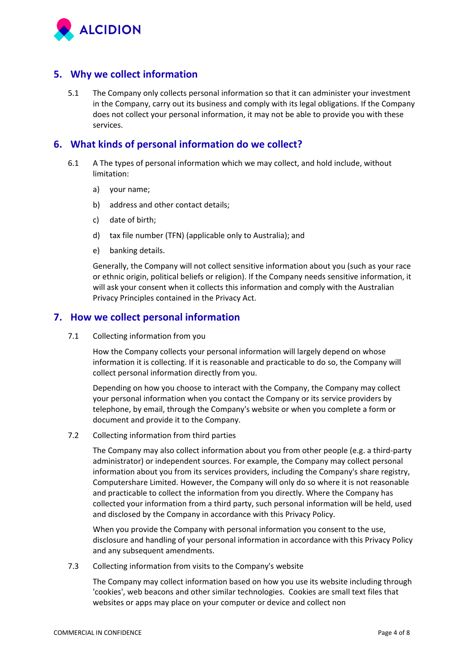

## **5. Why we collect information**

5.1 The Company only collects personal information so that it can administer your investment in the Company, carry out its business and comply with its legal obligations. If the Company does not collect your personal information, it may not be able to provide you with these services.

## **6. What kinds of personal information do we collect?**

- 6.1 A The types of personal information which we may collect, and hold include, without limitation:
	- a) your name;
	- b) address and other contact details;
	- c) date of birth;
	- d) tax file number (TFN) (applicable only to Australia); and
	- e) banking details.

Generally, the Company will not collect sensitive information about you (such as your race or ethnic origin, political beliefs or religion). If the Company needs sensitive information, it will ask your consent when it collects this information and comply with the Australian Privacy Principles contained in the Privacy Act.

### **7. How we collect personal information**

7.1 Collecting information from you

How the Company collects your personal information will largely depend on whose information it is collecting. If it is reasonable and practicable to do so, the Company will collect personal information directly from you.

Depending on how you choose to interact with the Company, the Company may collect your personal information when you contact the Company or its service providers by telephone, by email, through the Company's website or when you complete a form or document and provide it to the Company.

7.2 Collecting information from third parties

The Company may also collect information about you from other people (e.g. a third-party administrator) or independent sources. For example, the Company may collect personal information about you from its services providers, including the Company's share registry, Computershare Limited. However, the Company will only do so where it is not reasonable and practicable to collect the information from you directly. Where the Company has collected your information from a third party, such personal information will be held, used and disclosed by the Company in accordance with this Privacy Policy.

When you provide the Company with personal information you consent to the use, disclosure and handling of your personal information in accordance with this Privacy Policy and any subsequent amendments.

7.3 Collecting information from visits to the Company's website

The Company may collect information based on how you use its website including through 'cookies', web beacons and other similar technologies. Cookies are small text files that websites or apps may place on your computer or device and collect non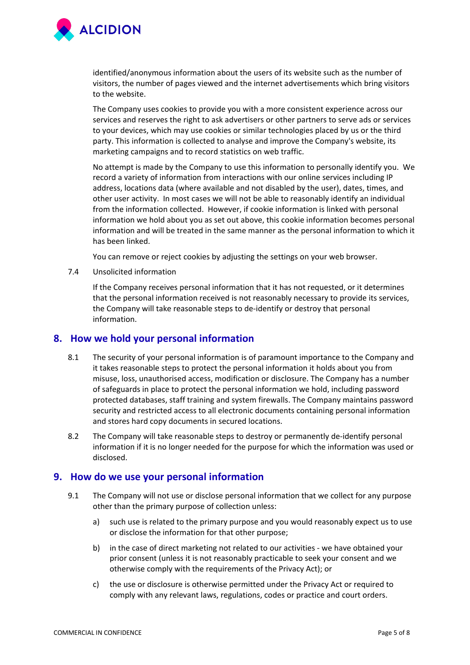

identified/anonymous information about the users of its website such as the number of visitors, the number of pages viewed and the internet advertisements which bring visitors to the website.

The Company uses cookies to provide you with a more consistent experience across our services and reserves the right to ask advertisers or other partners to serve ads or services to your devices, which may use cookies or similar technologies placed by us or the third party. This information is collected to analyse and improve the Company's website, its marketing campaigns and to record statistics on web traffic.

No attempt is made by the Company to use this information to personally identify you. We record a variety of information from interactions with our online services including IP address, locations data (where available and not disabled by the user), dates, times, and other user activity. In most cases we will not be able to reasonably identify an individual from the information collected. However, if cookie information is linked with personal information we hold about you as set out above, this cookie information becomes personal information and will be treated in the same manner as the personal information to which it has been linked.

You can remove or reject cookies by adjusting the settings on your web browser.

7.4 Unsolicited information

If the Company receives personal information that it has not requested, or it determines that the personal information received is not reasonably necessary to provide its services, the Company will take reasonable steps to de-identify or destroy that personal information.

#### **8. How we hold your personal information**

- 8.1 The security of your personal information is of paramount importance to the Company and it takes reasonable steps to protect the personal information it holds about you from misuse, loss, unauthorised access, modification or disclosure. The Company has a number of safeguards in place to protect the personal information we hold, including password protected databases, staff training and system firewalls. The Company maintains password security and restricted access to all electronic documents containing personal information and stores hard copy documents in secured locations.
- 8.2 The Company will take reasonable steps to destroy or permanently de-identify personal information if it is no longer needed for the purpose for which the information was used or disclosed.

#### **9. How do we use your personal information**

- 9.1 The Company will not use or disclose personal information that we collect for any purpose other than the primary purpose of collection unless:
	- a) such use is related to the primary purpose and you would reasonably expect us to use or disclose the information for that other purpose;
	- b) in the case of direct marketing not related to our activities we have obtained your prior consent (unless it is not reasonably practicable to seek your consent and we otherwise comply with the requirements of the Privacy Act); or
	- c) the use or disclosure is otherwise permitted under the Privacy Act or required to comply with any relevant laws, regulations, codes or practice and court orders.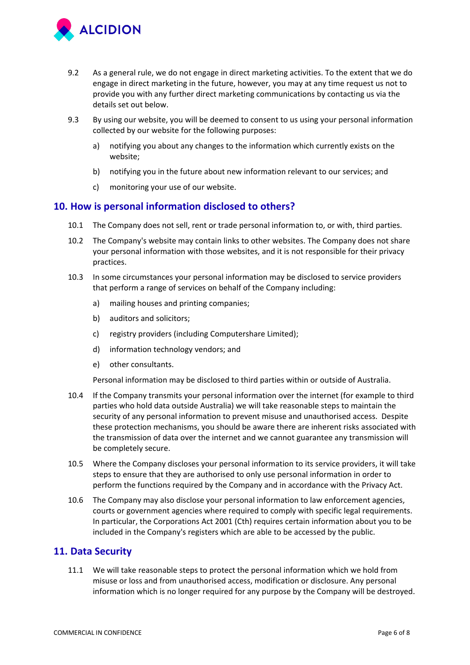

- 9.2 As a general rule, we do not engage in direct marketing activities. To the extent that we do engage in direct marketing in the future, however, you may at any time request us not to provide you with any further direct marketing communications by contacting us via the details set out below.
- 9.3 By using our website, you will be deemed to consent to us using your personal information collected by our website for the following purposes:
	- a) notifying you about any changes to the information which currently exists on the website;
	- b) notifying you in the future about new information relevant to our services; and
	- c) monitoring your use of our website.

#### **10. How is personal information disclosed to others?**

- 10.1 The Company does not sell, rent or trade personal information to, or with, third parties.
- 10.2 The Company's website may contain links to other websites. The Company does not share your personal information with those websites, and it is not responsible for their privacy practices.
- 10.3 In some circumstances your personal information may be disclosed to service providers that perform a range of services on behalf of the Company including:
	- a) mailing houses and printing companies;
	- b) auditors and solicitors;
	- c) registry providers (including Computershare Limited);
	- d) information technology vendors; and
	- e) other consultants.

Personal information may be disclosed to third parties within or outside of Australia.

- 10.4 If the Company transmits your personal information over the internet (for example to third parties who hold data outside Australia) we will take reasonable steps to maintain the security of any personal information to prevent misuse and unauthorised access. Despite these protection mechanisms, you should be aware there are inherent risks associated with the transmission of data over the internet and we cannot guarantee any transmission will be completely secure.
- 10.5 Where the Company discloses your personal information to its service providers, it will take steps to ensure that they are authorised to only use personal information in order to perform the functions required by the Company and in accordance with the Privacy Act.
- 10.6 The Company may also disclose your personal information to law enforcement agencies, courts or government agencies where required to comply with specific legal requirements. In particular, the Corporations Act 2001 (Cth) requires certain information about you to be included in the Company's registers which are able to be accessed by the public.

#### **11. Data Security**

11.1 We will take reasonable steps to protect the personal information which we hold from misuse or loss and from unauthorised access, modification or disclosure. Any personal information which is no longer required for any purpose by the Company will be destroyed.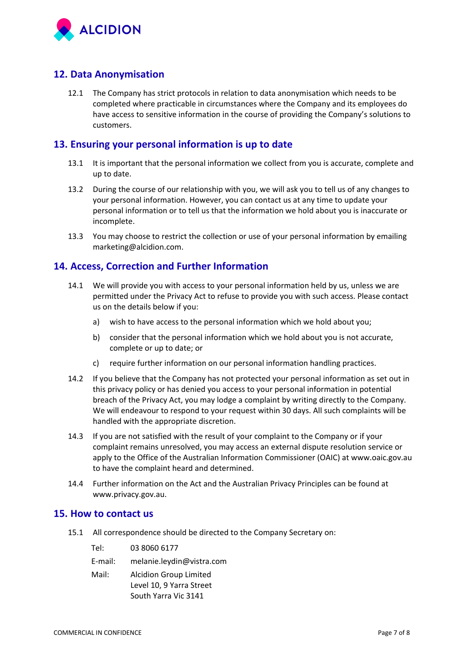

# **12. Data Anonymisation**

12.1 The Company has strict protocols in relation to data anonymisation which needs to be completed where practicable in circumstances where the Company and its employees do have access to sensitive information in the course of providing the Company's solutions to customers.

## **13. Ensuring your personal information is up to date**

- 13.1 It is important that the personal information we collect from you is accurate, complete and up to date.
- 13.2 During the course of our relationship with you, we will ask you to tell us of any changes to your personal information. However, you can contact us at any time to update your personal information or to tell us that the information we hold about you is inaccurate or incomplete.
- 13.3 You may choose to restrict the collection or use of your personal information by emailing marketing@alcidion.com.

## **14. Access, Correction and Further Information**

- 14.1 We will provide you with access to your personal information held by us, unless we are permitted under the Privacy Act to refuse to provide you with such access. Please contact us on the details below if you:
	- a) wish to have access to the personal information which we hold about you;
	- b) consider that the personal information which we hold about you is not accurate, complete or up to date; or
	- c) require further information on our personal information handling practices.
- 14.2 If you believe that the Company has not protected your personal information as set out in this privacy policy or has denied you access to your personal information in potential breach of the Privacy Act, you may lodge a complaint by writing directly to the Company. We will endeavour to respond to your request within 30 days. All such complaints will be handled with the appropriate discretion.
- 14.3 If you are not satisfied with the result of your complaint to the Company or if your complaint remains unresolved, you may access an external dispute resolution service or apply to the Office of the Australian Information Commissioner (OAIC) at www.oaic.gov.au to have the complaint heard and determined.
- 14.4 Further information on the Act and the Australian Privacy Principles can be found at www.privacy.gov.au.

#### **15. How to contact us**

15.1 All correspondence should be directed to the Company Secretary on:

E-mail: [melanie.leydin@vistra.com](mailto:melanie.leydin@vistra.com)

Mail: Alcidion Group Limited Level 10, 9 Yarra Street South Yarra Vic 3141